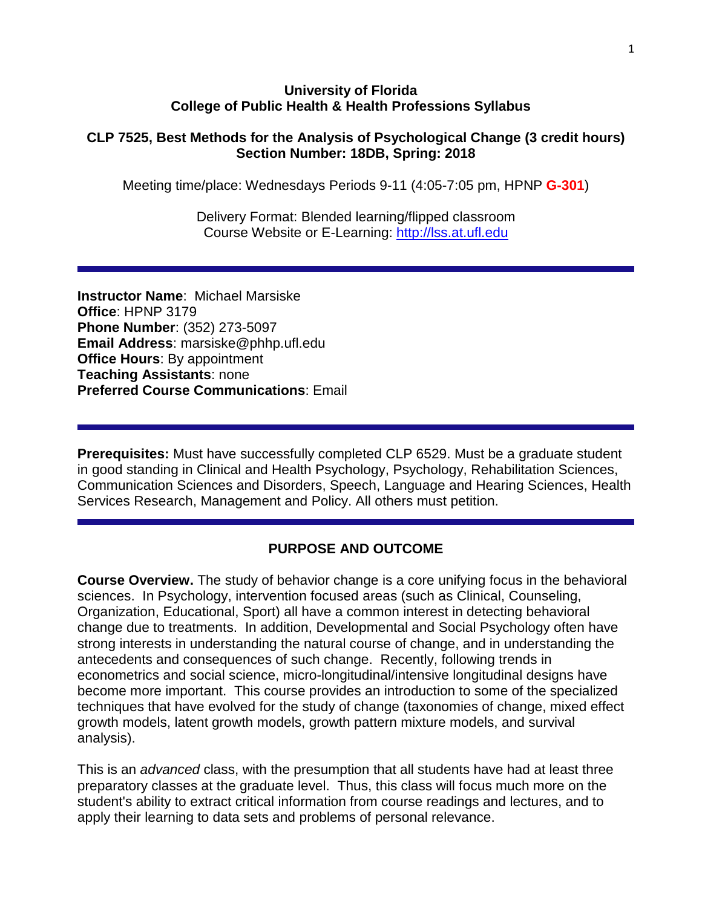#### **University of Florida College of Public Health & Health Professions Syllabus**

#### **CLP 7525, Best Methods for the Analysis of Psychological Change (3 credit hours) Section Number: 18DB, Spring: 2018**

Meeting time/place: Wednesdays Periods 9-11 (4:05-7:05 pm, HPNP **G-301**)

Delivery Format: Blended learning/flipped classroom Course Website or E-Learning: [http://lss.at.ufl.edu](http://lss.at.ufl.edu/)

**Instructor Name**: Michael Marsiske **Office**: HPNP 3179 **Phone Number**: (352) 273-5097 **Email Address**: marsiske@phhp.ufl.edu **Office Hours**: By appointment **Teaching Assistants**: none **Preferred Course Communications**: Email

**Prerequisites:** Must have successfully completed CLP 6529. Must be a graduate student in good standing in Clinical and Health Psychology, Psychology, Rehabilitation Sciences, Communication Sciences and Disorders, Speech, Language and Hearing Sciences, Health Services Research, Management and Policy. All others must petition.

### **PURPOSE AND OUTCOME**

**Course Overview.** The study of behavior change is a core unifying focus in the behavioral sciences. In Psychology, intervention focused areas (such as Clinical, Counseling, Organization, Educational, Sport) all have a common interest in detecting behavioral change due to treatments. In addition, Developmental and Social Psychology often have strong interests in understanding the natural course of change, and in understanding the antecedents and consequences of such change. Recently, following trends in econometrics and social science, micro-longitudinal/intensive longitudinal designs have become more important. This course provides an introduction to some of the specialized techniques that have evolved for the study of change (taxonomies of change, mixed effect growth models, latent growth models, growth pattern mixture models, and survival analysis).

This is an *advanced* class, with the presumption that all students have had at least three preparatory classes at the graduate level. Thus, this class will focus much more on the student's ability to extract critical information from course readings and lectures, and to apply their learning to data sets and problems of personal relevance.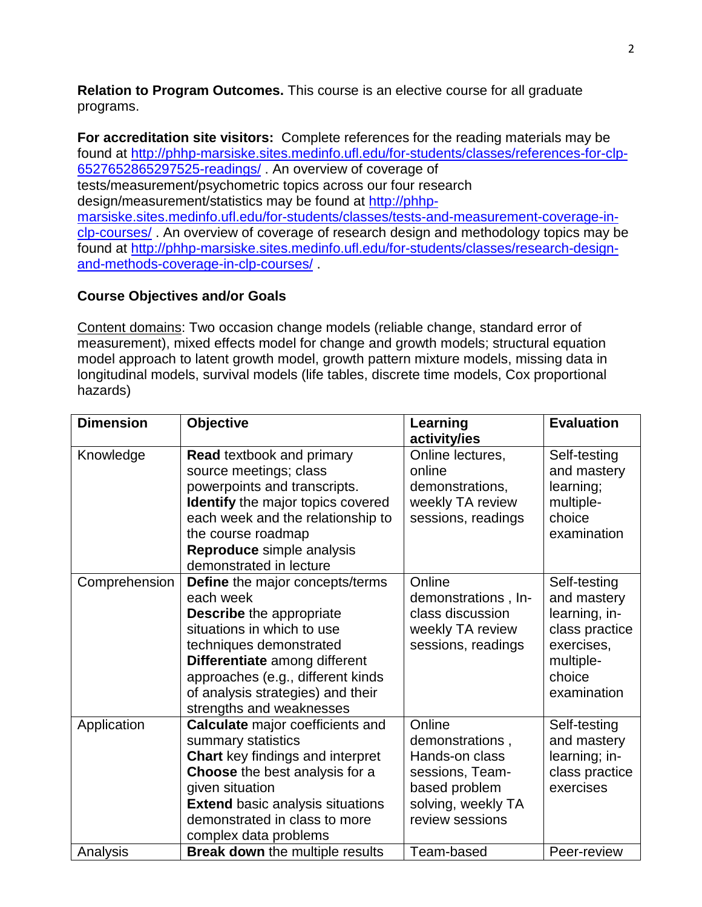**Relation to Program Outcomes.** This course is an elective course for all graduate programs.

**For accreditation site visitors:** Complete references for the reading materials may be found at [http://phhp-marsiske.sites.medinfo.ufl.edu/for-students/classes/references-for-clp-](http://phhp-marsiske.sites.medinfo.ufl.edu/for-students/classes/references-for-clp-6527652865297525-readings/)[6527652865297525-readings/](http://phhp-marsiske.sites.medinfo.ufl.edu/for-students/classes/references-for-clp-6527652865297525-readings/) . An overview of coverage of tests/measurement/psychometric topics across our four research design/measurement/statistics may be found at [http://phhp](http://phhp-marsiske.sites.medinfo.ufl.edu/for-students/classes/tests-and-measurement-coverage-in-clp-courses/)[marsiske.sites.medinfo.ufl.edu/for-students/classes/tests-and-measurement-coverage-in](http://phhp-marsiske.sites.medinfo.ufl.edu/for-students/classes/tests-and-measurement-coverage-in-clp-courses/)[clp-courses/](http://phhp-marsiske.sites.medinfo.ufl.edu/for-students/classes/tests-and-measurement-coverage-in-clp-courses/) . An overview of coverage of research design and methodology topics may be found at [http://phhp-marsiske.sites.medinfo.ufl.edu/for-students/classes/research-design](http://phhp-marsiske.sites.medinfo.ufl.edu/for-students/classes/research-design-and-methods-coverage-in-clp-courses/)[and-methods-coverage-in-clp-courses/](http://phhp-marsiske.sites.medinfo.ufl.edu/for-students/classes/research-design-and-methods-coverage-in-clp-courses/) .

### **Course Objectives and/or Goals**

Content domains: Two occasion change models (reliable change, standard error of measurement), mixed effects model for change and growth models; structural equation model approach to latent growth model, growth pattern mixture models, missing data in longitudinal models, survival models (life tables, discrete time models, Cox proportional hazards)

| <b>Dimension</b> | <b>Objective</b>                                                                                                                                                                                                                                                                | Learning<br>activity/ies                                                                                                 | <b>Evaluation</b>                                                                                                  |
|------------------|---------------------------------------------------------------------------------------------------------------------------------------------------------------------------------------------------------------------------------------------------------------------------------|--------------------------------------------------------------------------------------------------------------------------|--------------------------------------------------------------------------------------------------------------------|
| Knowledge        | <b>Read textbook and primary</b><br>source meetings; class<br>powerpoints and transcripts.<br><b>Identify</b> the major topics covered<br>each week and the relationship to<br>the course roadmap<br>Reproduce simple analysis<br>demonstrated in lecture                       | Online lectures,<br>online<br>demonstrations,<br>weekly TA review<br>sessions, readings                                  | Self-testing<br>and mastery<br>learning;<br>multiple-<br>choice<br>examination                                     |
| Comprehension    | Define the major concepts/terms<br>each week<br><b>Describe</b> the appropriate<br>situations in which to use<br>techniques demonstrated<br>Differentiate among different<br>approaches (e.g., different kinds<br>of analysis strategies) and their<br>strengths and weaknesses | Online<br>demonstrations, In-<br>class discussion<br>weekly TA review<br>sessions, readings                              | Self-testing<br>and mastery<br>learning, in-<br>class practice<br>exercises,<br>multiple-<br>choice<br>examination |
| Application      | <b>Calculate</b> major coefficients and<br>summary statistics<br><b>Chart</b> key findings and interpret<br>Choose the best analysis for a<br>given situation<br><b>Extend basic analysis situations</b><br>demonstrated in class to more<br>complex data problems              | Online<br>demonstrations,<br>Hands-on class<br>sessions, Team-<br>based problem<br>solving, weekly TA<br>review sessions | Self-testing<br>and mastery<br>learning; in-<br>class practice<br>exercises                                        |
| Analysis         | <b>Break down</b> the multiple results                                                                                                                                                                                                                                          | Team-based                                                                                                               | Peer-review                                                                                                        |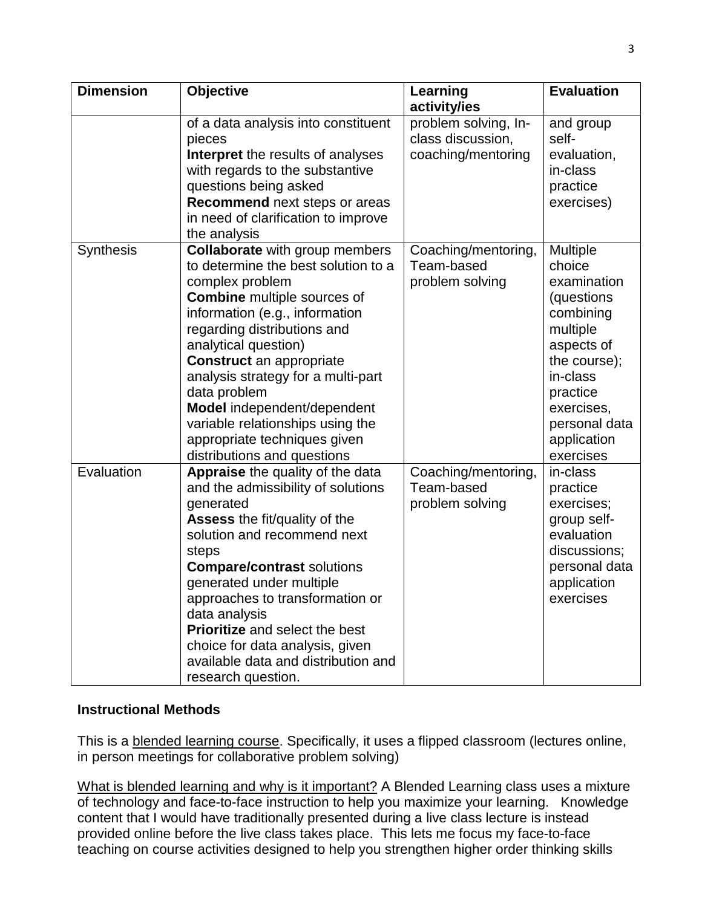| <b>Dimension</b> | <b>Objective</b>                                                                                                                                                                                                                                                                                                                                                                                                                                          | Learning<br>activity/ies                                        | <b>Evaluation</b>                                                                                                                                                                                |
|------------------|-----------------------------------------------------------------------------------------------------------------------------------------------------------------------------------------------------------------------------------------------------------------------------------------------------------------------------------------------------------------------------------------------------------------------------------------------------------|-----------------------------------------------------------------|--------------------------------------------------------------------------------------------------------------------------------------------------------------------------------------------------|
|                  | of a data analysis into constituent<br>pieces<br>Interpret the results of analyses<br>with regards to the substantive<br>questions being asked<br>Recommend next steps or areas<br>in need of clarification to improve<br>the analysis                                                                                                                                                                                                                    | problem solving, In-<br>class discussion,<br>coaching/mentoring | and group<br>self-<br>evaluation,<br>in-class<br>practice<br>exercises)                                                                                                                          |
| Synthesis        | <b>Collaborate</b> with group members<br>to determine the best solution to a<br>complex problem<br><b>Combine</b> multiple sources of<br>information (e.g., information<br>regarding distributions and<br>analytical question)<br><b>Construct</b> an appropriate<br>analysis strategy for a multi-part<br>data problem<br>Model independent/dependent<br>variable relationships using the<br>appropriate techniques given<br>distributions and questions | Coaching/mentoring,<br>Team-based<br>problem solving            | <b>Multiple</b><br>choice<br>examination<br>(questions<br>combining<br>multiple<br>aspects of<br>the course);<br>in-class<br>practice<br>exercises,<br>personal data<br>application<br>exercises |
| Evaluation       | Appraise the quality of the data<br>and the admissibility of solutions<br>generated<br><b>Assess the fit/quality of the</b><br>solution and recommend next<br>steps<br><b>Compare/contrast solutions</b><br>generated under multiple<br>approaches to transformation or<br>data analysis<br><b>Prioritize</b> and select the best<br>choice for data analysis, given<br>available data and distribution and<br>research question.                         | Coaching/mentoring,<br>Team-based<br>problem solving            | in-class<br>practice<br>exercises;<br>group self-<br>evaluation<br>discussions;<br>personal data<br>application<br>exercises                                                                     |

### **Instructional Methods**

This is a **blended learning course**. Specifically, it uses a flipped classroom (lectures online, in person meetings for collaborative problem solving)

What is blended learning and why is it important? A Blended Learning class uses a mixture of technology and face-to-face instruction to help you maximize your learning. Knowledge content that I would have traditionally presented during a live class lecture is instead provided online before the live class takes place. This lets me focus my face-to-face teaching on course activities designed to help you strengthen higher order thinking skills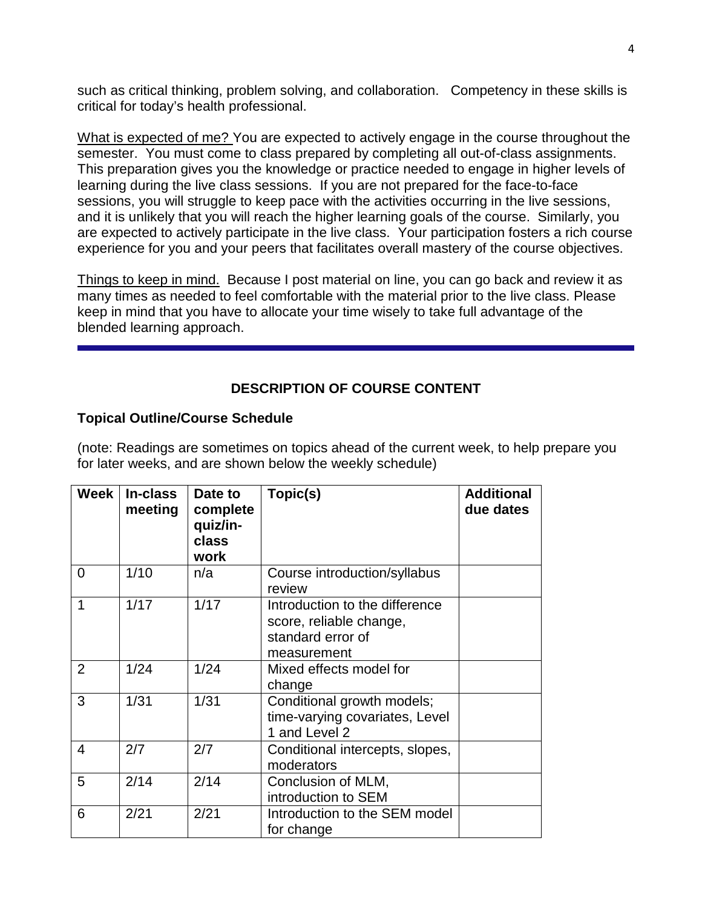such as critical thinking, problem solving, and collaboration. Competency in these skills is critical for today's health professional.

What is expected of me? You are expected to actively engage in the course throughout the semester. You must come to class prepared by completing all out-of-class assignments. This preparation gives you the knowledge or practice needed to engage in higher levels of learning during the live class sessions. If you are not prepared for the face-to-face sessions, you will struggle to keep pace with the activities occurring in the live sessions, and it is unlikely that you will reach the higher learning goals of the course. Similarly, you are expected to actively participate in the live class. Your participation fosters a rich course experience for you and your peers that facilitates overall mastery of the course objectives.

Things to keep in mind. Because I post material on line, you can go back and review it as many times as needed to feel comfortable with the material prior to the live class. Please keep in mind that you have to allocate your time wisely to take full advantage of the blended learning approach.

### **DESCRIPTION OF COURSE CONTENT**

#### **Topical Outline/Course Schedule**

(note: Readings are sometimes on topics ahead of the current week, to help prepare you for later weeks, and are shown below the weekly schedule)

| Week                    | In-class<br>meeting | Date to<br>complete<br>quiz/in-<br>class<br>work | Topic(s)                                                                                      | <b>Additional</b><br>due dates |
|-------------------------|---------------------|--------------------------------------------------|-----------------------------------------------------------------------------------------------|--------------------------------|
| $\Omega$                | 1/10                | n/a                                              | Course introduction/syllabus<br>review                                                        |                                |
| 1                       | 1/17                | 1/17                                             | Introduction to the difference<br>score, reliable change,<br>standard error of<br>measurement |                                |
| 2                       | 1/24                | 1/24                                             | Mixed effects model for<br>change                                                             |                                |
| 3                       | 1/31                | 1/31                                             | Conditional growth models;<br>time-varying covariates, Level<br>1 and Level 2                 |                                |
| $\overline{\mathbf{4}}$ | 2/7                 | 2/7                                              | Conditional intercepts, slopes,<br>moderators                                                 |                                |
| 5                       | 2/14                | 2/14                                             | Conclusion of MLM,<br>introduction to SEM                                                     |                                |
| 6                       | 2/21                | 2/21                                             | Introduction to the SEM model<br>for change                                                   |                                |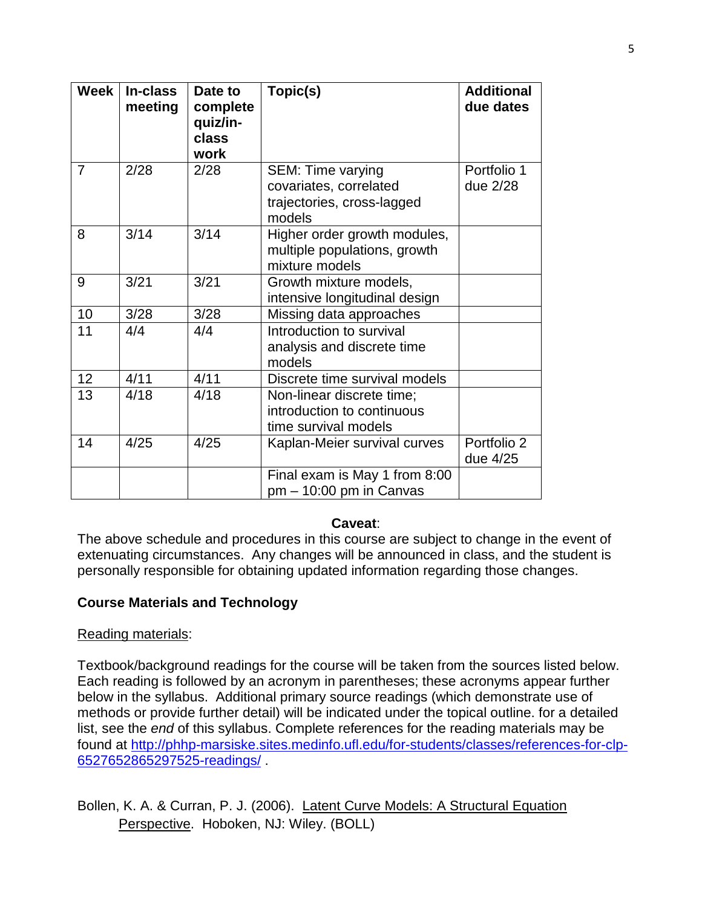| <b>Week</b> | In-class<br>meeting | Date to<br>complete<br>quiz/in-<br>class<br>work | Topic(s)                                                                                   | <b>Additional</b><br>due dates |
|-------------|---------------------|--------------------------------------------------|--------------------------------------------------------------------------------------------|--------------------------------|
| 7           | 2/28                | 2/28                                             | <b>SEM: Time varying</b><br>covariates, correlated<br>trajectories, cross-lagged<br>models | Portfolio 1<br>due 2/28        |
| 8           | 3/14                | 3/14                                             | Higher order growth modules,<br>multiple populations, growth<br>mixture models             |                                |
| 9           | 3/21                | 3/21                                             | Growth mixture models,<br>intensive longitudinal design                                    |                                |
| 10          | 3/28                | 3/28                                             | Missing data approaches                                                                    |                                |
| 11          | 4/4                 | 4/4                                              | Introduction to survival<br>analysis and discrete time<br>models                           |                                |
| 12          | 4/11                | 4/11                                             | Discrete time survival models                                                              |                                |
| 13          | 4/18                | 4/18                                             | Non-linear discrete time;<br>introduction to continuous<br>time survival models            |                                |
| 14          | 4/25                | 4/25                                             | Kaplan-Meier survival curves                                                               | Portfolio 2<br>due 4/25        |
|             |                     |                                                  | Final exam is May 1 from 8:00<br>$pm - 10:00$ pm in Canvas                                 |                                |

#### **Caveat**:

The above schedule and procedures in this course are subject to change in the event of extenuating circumstances. Any changes will be announced in class, and the student is personally responsible for obtaining updated information regarding those changes.

### **Course Materials and Technology**

### Reading materials:

Textbook/background readings for the course will be taken from the sources listed below. Each reading is followed by an acronym in parentheses; these acronyms appear further below in the syllabus. Additional primary source readings (which demonstrate use of methods or provide further detail) will be indicated under the topical outline. for a detailed list, see the *end* of this syllabus. Complete references for the reading materials may be found at [http://phhp-marsiske.sites.medinfo.ufl.edu/for-students/classes/references-for-clp-](http://phhp-marsiske.sites.medinfo.ufl.edu/for-students/classes/references-for-clp-6527652865297525-readings/)[6527652865297525-readings/](http://phhp-marsiske.sites.medinfo.ufl.edu/for-students/classes/references-for-clp-6527652865297525-readings/) .

Bollen, K. A. & Curran, P. J. (2006). Latent Curve Models: A Structural Equation Perspective. Hoboken, NJ: Wiley. (BOLL)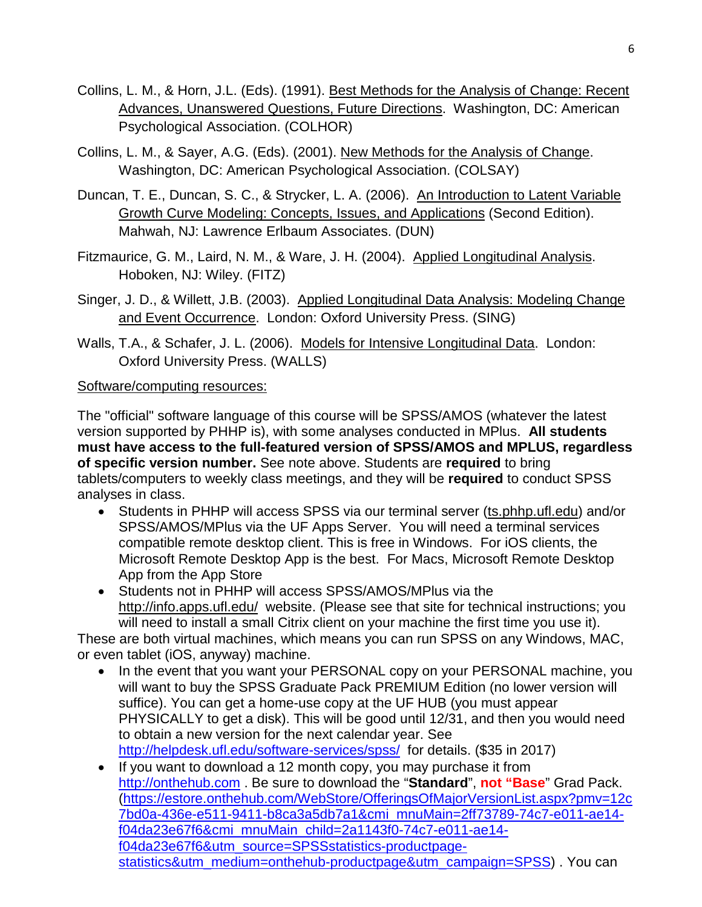- Collins, L. M., & Horn, J.L. (Eds). (1991). Best Methods for the Analysis of Change: Recent Advances, Unanswered Questions, Future Directions. Washington, DC: American Psychological Association. (COLHOR)
- Collins, L. M., & Sayer, A.G. (Eds). (2001). New Methods for the Analysis of Change. Washington, DC: American Psychological Association. (COLSAY)
- Duncan, T. E., Duncan, S. C., & Strycker, L. A. (2006). An Introduction to Latent Variable Growth Curve Modeling: Concepts, Issues, and Applications (Second Edition). Mahwah, NJ: Lawrence Erlbaum Associates. (DUN)
- Fitzmaurice, G. M., Laird, N. M., & Ware, J. H. (2004). Applied Longitudinal Analysis. Hoboken, NJ: Wiley. (FITZ)
- Singer, J. D., & Willett, J.B. (2003). Applied Longitudinal Data Analysis: Modeling Change and Event Occurrence. London: Oxford University Press. (SING)
- Walls, T.A., & Schafer, J. L. (2006). Models for Intensive Longitudinal Data. London: Oxford University Press. (WALLS)

### Software/computing resources:

The "official" software language of this course will be SPSS/AMOS (whatever the latest version supported by PHHP is), with some analyses conducted in MPlus. **All students must have access to the full-featured version of SPSS/AMOS and MPLUS, regardless of specific version number.** See note above. Students are **required** to bring tablets/computers to weekly class meetings, and they will be **required** to conduct SPSS analyses in class.

- Students in PHHP will access SPSS via our terminal server (ts.phhp.ufl.edu) and/or SPSS/AMOS/MPlus via the UF Apps Server. You will need a terminal services compatible remote desktop client. This is free in Windows. For iOS clients, the Microsoft Remote Desktop App is the best. For Macs, Microsoft Remote Desktop App from the App Store
- Students not in PHHP will access SPSS/AMOS/MPlus via the http://info.apps.ufl.edu/ website. (Please see that site for technical instructions; you will need to install a small Citrix client on your machine the first time you use it).

These are both virtual machines, which means you can run SPSS on any Windows, MAC, or even tablet (iOS, anyway) machine.

- In the event that you want your PERSONAL copy on your PERSONAL machine, you will want to buy the SPSS Graduate Pack PREMIUM Edition (no lower version will suffice). You can get a home-use copy at the UF HUB (you must appear PHYSICALLY to get a disk). This will be good until 12/31, and then you would need to obtain a new version for the next calendar year. See <http://helpdesk.ufl.edu/software-services/spss/>for details. (\$35 in 2017)
- If you want to download a 12 month copy, you may purchase it from [http://onthehub.com](http://onthehub.com/) . Be sure to download the "**Standard**", **not "Base**" Grad Pack. [\(https://estore.onthehub.com/WebStore/OfferingsOfMajorVersionList.aspx?pmv=12c](https://estore.onthehub.com/WebStore/OfferingsOfMajorVersionList.aspx?pmv=12c7bd0a-436e-e511-9411-b8ca3a5db7a1&cmi_mnuMain=2ff73789-74c7-e011-ae14-f04da23e67f6&cmi_mnuMain_child=2a1143f0-74c7-e011-ae14-f04da23e67f6&utm_source=SPSSstatistics-productpage-statistics&utm_medium=onthehub-productpage&utm_campaign=SPSS) [7bd0a-436e-e511-9411-b8ca3a5db7a1&cmi\\_mnuMain=2ff73789-74c7-e011-ae14](https://estore.onthehub.com/WebStore/OfferingsOfMajorVersionList.aspx?pmv=12c7bd0a-436e-e511-9411-b8ca3a5db7a1&cmi_mnuMain=2ff73789-74c7-e011-ae14-f04da23e67f6&cmi_mnuMain_child=2a1143f0-74c7-e011-ae14-f04da23e67f6&utm_source=SPSSstatistics-productpage-statistics&utm_medium=onthehub-productpage&utm_campaign=SPSS) [f04da23e67f6&cmi\\_mnuMain\\_child=2a1143f0-74c7-e011-ae14](https://estore.onthehub.com/WebStore/OfferingsOfMajorVersionList.aspx?pmv=12c7bd0a-436e-e511-9411-b8ca3a5db7a1&cmi_mnuMain=2ff73789-74c7-e011-ae14-f04da23e67f6&cmi_mnuMain_child=2a1143f0-74c7-e011-ae14-f04da23e67f6&utm_source=SPSSstatistics-productpage-statistics&utm_medium=onthehub-productpage&utm_campaign=SPSS) [f04da23e67f6&utm\\_source=SPSSstatistics-productpage](https://estore.onthehub.com/WebStore/OfferingsOfMajorVersionList.aspx?pmv=12c7bd0a-436e-e511-9411-b8ca3a5db7a1&cmi_mnuMain=2ff73789-74c7-e011-ae14-f04da23e67f6&cmi_mnuMain_child=2a1143f0-74c7-e011-ae14-f04da23e67f6&utm_source=SPSSstatistics-productpage-statistics&utm_medium=onthehub-productpage&utm_campaign=SPSS)[statistics&utm\\_medium=onthehub-productpage&utm\\_campaign=SPSS\)](https://estore.onthehub.com/WebStore/OfferingsOfMajorVersionList.aspx?pmv=12c7bd0a-436e-e511-9411-b8ca3a5db7a1&cmi_mnuMain=2ff73789-74c7-e011-ae14-f04da23e67f6&cmi_mnuMain_child=2a1143f0-74c7-e011-ae14-f04da23e67f6&utm_source=SPSSstatistics-productpage-statistics&utm_medium=onthehub-productpage&utm_campaign=SPSS) . You can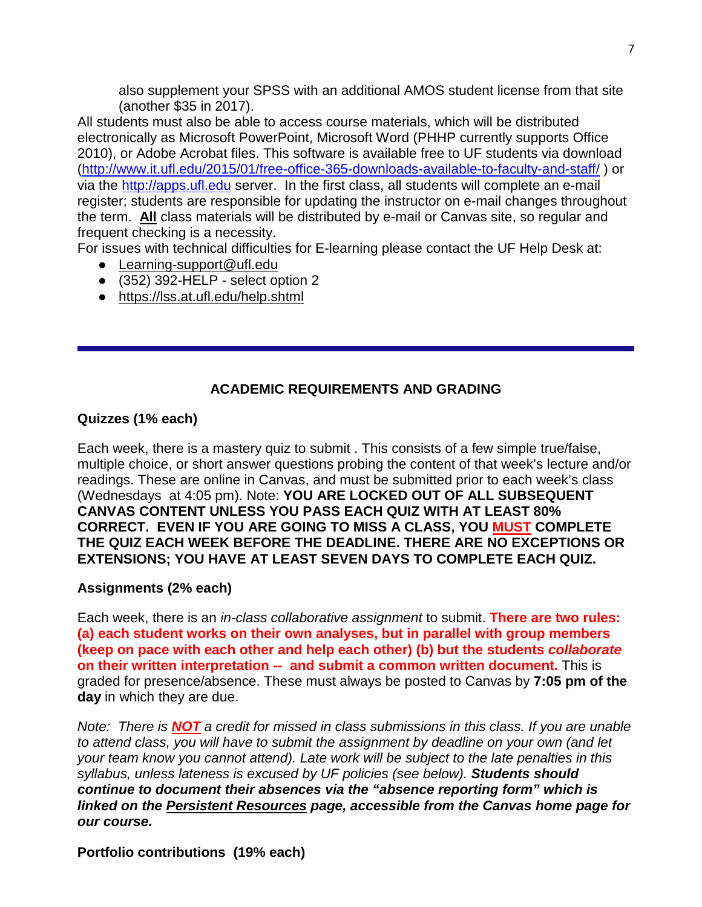also supplement your SPSS with an additional AMOS student license from that site (another \$35 in 2017).

All students must also be able to access course materials, which will be distributed electronically as Microsoft PowerPoint, Microsoft Word (PHHP currently supports Office 2010), or Adobe Acrobat files. This software is available free to UF students via download [\(http://www.it.ufl.edu/2015/01/free-office-365-downloads-available-to-faculty-and-staff/](http://www.it.ufl.edu/2015/01/free-office-365-downloads-available-to-faculty-and-staff/) ) or via the [http://apps.ufl.edu](http://apps.ufl.edu/) server. In the first class, all students will complete an e-mail register; students are responsible for updating the instructor on e-mail changes throughout the term. **All** class materials will be distributed by e-mail or Canvas site, so regular and frequent checking is a necessity.

For issues with technical difficulties for E-learning please contact the UF Help Desk at:

- Learning-support@ufl.edu
- (352) 392-HELP select option 2
- <https://lss.at.ufl.edu/help.shtml>

### **ACADEMIC REQUIREMENTS AND GRADING**

### **Quizzes (1% each)**

Each week, there is a mastery quiz to submit . This consists of a few simple true/false, multiple choice, or short answer questions probing the content of that week's lecture and/or readings. These are online in Canvas, and must be submitted prior to each week's class (Wednesdays at 4:05 pm). Note: **YOU ARE LOCKED OUT OF ALL SUBSEQUENT CANVAS CONTENT UNLESS YOU PASS EACH QUIZ WITH AT LEAST 80% CORRECT. EVEN IF YOU ARE GOING TO MISS A CLASS, YOU MUST COMPLETE THE QUIZ EACH WEEK BEFORE THE DEADLINE. THERE ARE NO EXCEPTIONS OR EXTENSIONS; YOU HAVE AT LEAST SEVEN DAYS TO COMPLETE EACH QUIZ.**

### **Assignments (2% each)**

Each week, there is an *in-class collaborative assignment* to submit. **There are two rules: (a) each student works on their own analyses, but in parallel with group members (keep on pace with each other and help each other) (b) but the students** *collaborate* **on their written interpretation -- and submit a common written document.** This is graded for presence/absence. These must always be posted to Canvas by **7:05 pm of the day** in which they are due.

*Note: There is NOT a credit for missed in class submissions in this class. If you are unable to attend class, you will have to submit the assignment by deadline on your own (and let your team know you cannot attend). Late work will be subject to the late penalties in this syllabus, unless lateness is excused by UF policies (see below). Students should continue to document their absences via the "absence reporting form" which is linked on the Persistent Resources page, accessible from the Canvas home page for our course.* 

**Portfolio contributions (19% each)**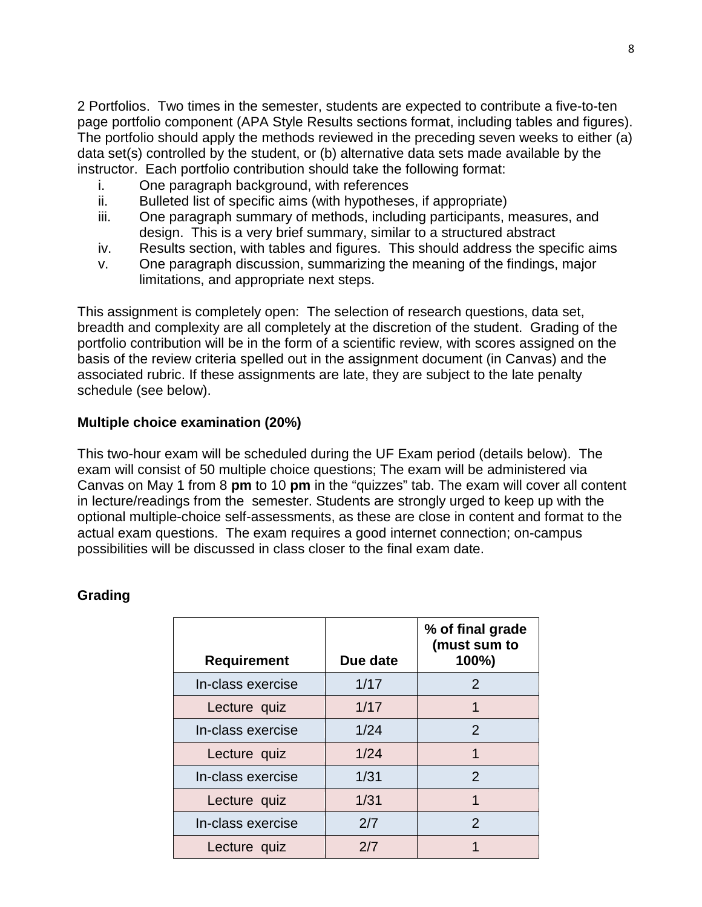2 Portfolios. Two times in the semester, students are expected to contribute a five-to-ten page portfolio component (APA Style Results sections format, including tables and figures). The portfolio should apply the methods reviewed in the preceding seven weeks to either (a) data set(s) controlled by the student, or (b) alternative data sets made available by the instructor. Each portfolio contribution should take the following format:

- i. One paragraph background, with references
- ii. Bulleted list of specific aims (with hypotheses, if appropriate)
- iii. One paragraph summary of methods, including participants, measures, and design. This is a very brief summary, similar to a structured abstract
- iv. Results section, with tables and figures. This should address the specific aims
- v. One paragraph discussion, summarizing the meaning of the findings, major limitations, and appropriate next steps.

This assignment is completely open: The selection of research questions, data set, breadth and complexity are all completely at the discretion of the student. Grading of the portfolio contribution will be in the form of a scientific review, with scores assigned on the basis of the review criteria spelled out in the assignment document (in Canvas) and the associated rubric. If these assignments are late, they are subject to the late penalty schedule (see below).

### **Multiple choice examination (20%)**

This two-hour exam will be scheduled during the UF Exam period (details below). The exam will consist of 50 multiple choice questions; The exam will be administered via Canvas on May 1 from 8 **pm** to 10 **pm** in the "quizzes" tab. The exam will cover all content in lecture/readings from the semester. Students are strongly urged to keep up with the optional multiple-choice self-assessments, as these are close in content and format to the actual exam questions. The exam requires a good internet connection; on-campus possibilities will be discussed in class closer to the final exam date.

| <b>Requirement</b> | Due date | % of final grade<br>(must sum to<br>100%) |
|--------------------|----------|-------------------------------------------|
| In-class exercise  | 1/17     | $\mathcal{P}$                             |
| Lecture quiz       | 1/17     | 1                                         |
| In-class exercise  | 1/24     | 2                                         |
| Lecture quiz       | 1/24     | 1                                         |
| In-class exercise  | 1/31     | $\overline{2}$                            |
| Lecture quiz       | 1/31     | 1                                         |
| In-class exercise  | 2/7      | 2                                         |
| Lecture quiz       | 2/7      |                                           |

### **Grading**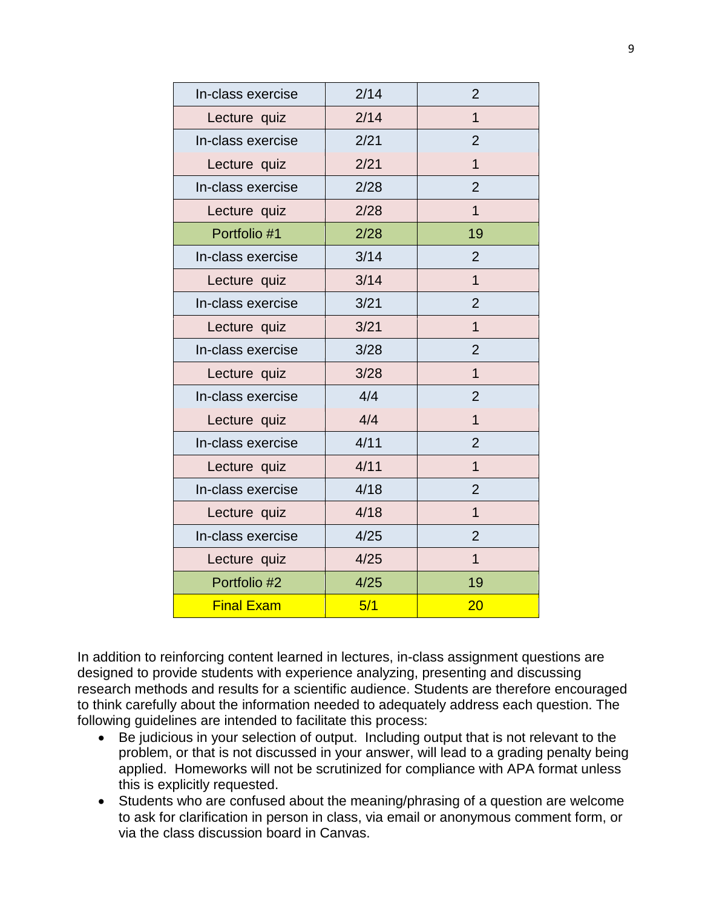| In-class exercise | 2/14 | $\overline{2}$ |
|-------------------|------|----------------|
| Lecture quiz      | 2/14 | $\overline{1}$ |
| In-class exercise | 2/21 | $\overline{2}$ |
| Lecture quiz      | 2/21 | 1              |
| In-class exercise | 2/28 | $\overline{2}$ |
| Lecture quiz      | 2/28 | $\overline{1}$ |
| Portfolio #1      | 2/28 | 19             |
| In-class exercise | 3/14 | $\overline{2}$ |
| Lecture quiz      | 3/14 | $\overline{1}$ |
| In-class exercise | 3/21 | 2              |
| Lecture quiz      | 3/21 | $\overline{1}$ |
| In-class exercise | 3/28 | $\overline{2}$ |
| Lecture quiz      | 3/28 | $\overline{1}$ |
| In-class exercise | 4/4  | $\overline{2}$ |
| Lecture quiz      | 4/4  | $\mathbf{1}$   |
| In-class exercise | 4/11 | $\overline{2}$ |
| Lecture quiz      | 4/11 | $\mathbf{1}$   |
| In-class exercise | 4/18 | $\overline{2}$ |
| Lecture quiz      | 4/18 | $\overline{1}$ |
| In-class exercise | 4/25 | $\overline{2}$ |
| Lecture quiz      | 4/25 | $\mathbf{1}$   |
| Portfolio #2      | 4/25 | 19             |
| <b>Final Exam</b> | 5/1  | 20             |

In addition to reinforcing content learned in lectures, in-class assignment questions are designed to provide students with experience analyzing, presenting and discussing research methods and results for a scientific audience. Students are therefore encouraged to think carefully about the information needed to adequately address each question. The following guidelines are intended to facilitate this process:

- Be judicious in your selection of output. Including output that is not relevant to the problem, or that is not discussed in your answer, will lead to a grading penalty being applied. Homeworks will not be scrutinized for compliance with APA format unless this is explicitly requested.
- Students who are confused about the meaning/phrasing of a question are welcome to ask for clarification in person in class, via email or anonymous comment form, or via the class discussion board in Canvas.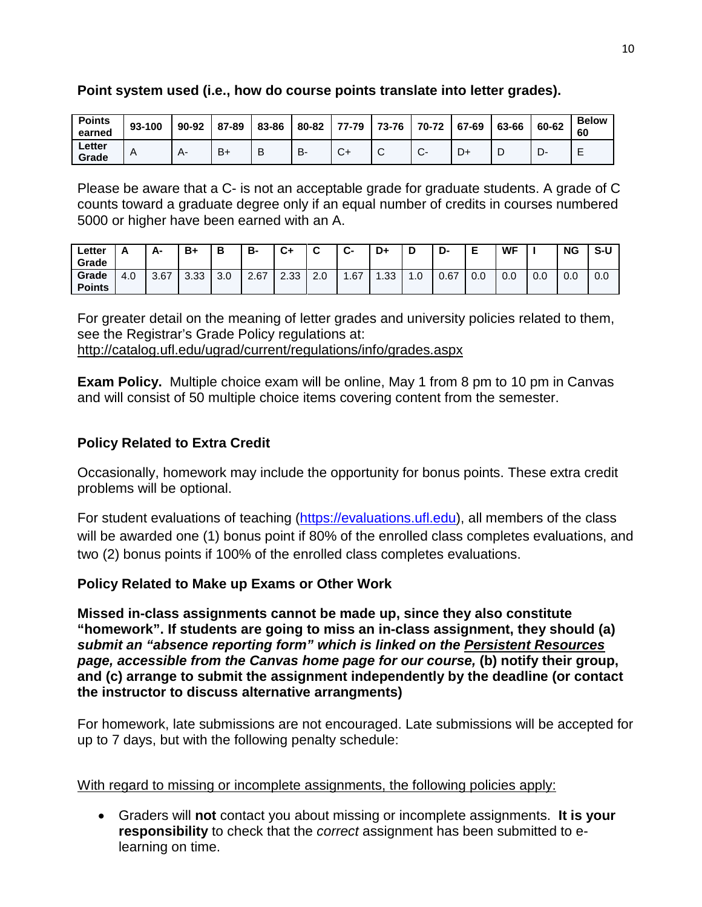| <b>Points</b><br>earned | 93-100 | 90-92 | 87-89 | 83-86 | 80-82 | 77-79  | 73-76 | 70-72 | 67-69 | 63-66 | 60-62 | <b>Below</b><br>60 |
|-------------------------|--------|-------|-------|-------|-------|--------|-------|-------|-------|-------|-------|--------------------|
| ∟etter<br>Grade         | A      | ∸∸    | $B+$  | B     | В-    | $\sim$ | ັ     | J UT  | D+    |       | ◡     | -<br>-             |

#### **Point system used (i.e., how do course points translate into letter grades).**

Please be aware that a C- is not an acceptable grade for graduate students. A grade of C counts toward a graduate degree only if an equal number of credits in courses numbered 5000 or higher have been earned with an A.

| ∟etter<br>Grade        | n.  | А-   | B+   | В   | в-   | C+   | ~   | ∼<br>-ن | D+   | D        | D-   |     | <b>WF</b> |     | <b>NG</b> | S-U |
|------------------------|-----|------|------|-----|------|------|-----|---------|------|----------|------|-----|-----------|-----|-----------|-----|
| Grade<br><b>Points</b> | 4.0 | 3.67 | 3.33 | 3.0 | 2.67 | 2.33 | 2.0 | .67     | l.33 | л<br>∣.∪ | 0.67 | 0.0 | 0.0       | 0.0 | 0.0       | 0.0 |

For greater detail on the meaning of letter grades and university policies related to them, see the Registrar's Grade Policy regulations at: <http://catalog.ufl.edu/ugrad/current/regulations/info/grades.aspx>

**Exam Policy.** Multiple choice exam will be online, May 1 from 8 pm to 10 pm in Canvas and will consist of 50 multiple choice items covering content from the semester.

### **Policy Related to Extra Credit**

Occasionally, homework may include the opportunity for bonus points. These extra credit problems will be optional.

For student evaluations of teaching [\(https://evaluations.ufl.edu\)](https://evaluations.ufl.edu/), all members of the class will be awarded one (1) bonus point if 80% of the enrolled class completes evaluations, and two (2) bonus points if 100% of the enrolled class completes evaluations.

### **Policy Related to Make up Exams or Other Work**

**Missed in-class assignments cannot be made up, since they also constitute "homework". If students are going to miss an in-class assignment, they should (a)**  *submit an "absence reporting form" which is linked on the Persistent Resources page, accessible from the Canvas home page for our course,* **(b) notify their group, and (c) arrange to submit the assignment independently by the deadline (or contact the instructor to discuss alternative arrangments)**

For homework, late submissions are not encouraged. Late submissions will be accepted for up to 7 days, but with the following penalty schedule:

With regard to missing or incomplete assignments, the following policies apply:

• Graders will **not** contact you about missing or incomplete assignments. **It is your responsibility** to check that the *correct* assignment has been submitted to elearning on time.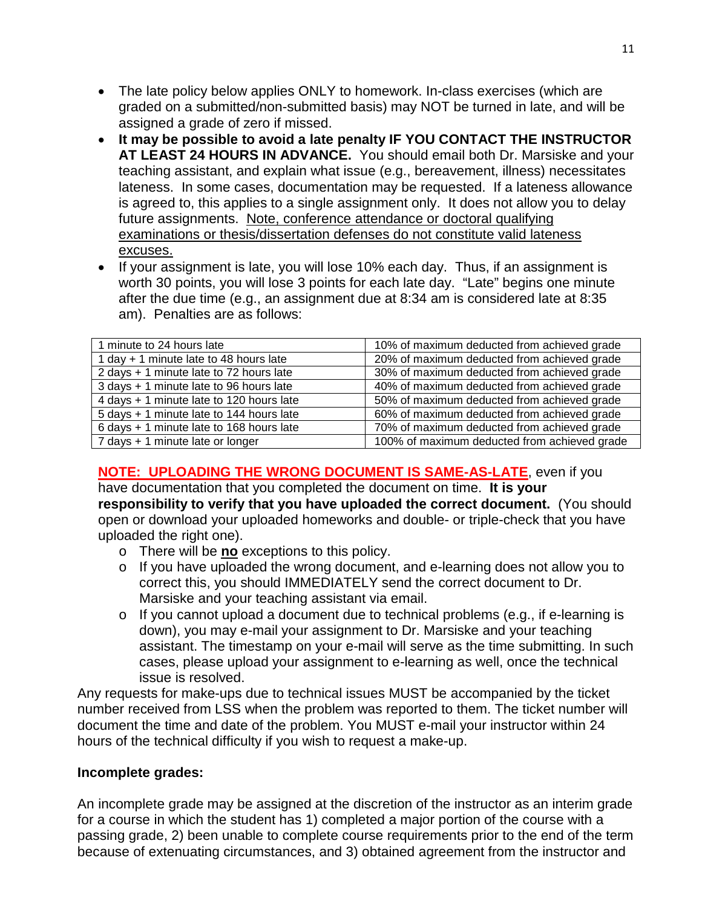- The late policy below applies ONLY to homework. In-class exercises (which are graded on a submitted/non-submitted basis) may NOT be turned in late, and will be assigned a grade of zero if missed.
- **It may be possible to avoid a late penalty IF YOU CONTACT THE INSTRUCTOR AT LEAST 24 HOURS IN ADVANCE.** You should email both Dr. Marsiske and your teaching assistant, and explain what issue (e.g., bereavement, illness) necessitates lateness. In some cases, documentation may be requested. If a lateness allowance is agreed to, this applies to a single assignment only. It does not allow you to delay future assignments. Note, conference attendance or doctoral qualifying examinations or thesis/dissertation defenses do not constitute valid lateness excuses.
- If your assignment is late, you will lose 10% each day. Thus, if an assignment is worth 30 points, you will lose 3 points for each late day. "Late" begins one minute after the due time (e.g., an assignment due at 8:34 am is considered late at 8:35 am). Penalties are as follows:

| 1 minute to 24 hours late                | 10% of maximum deducted from achieved grade  |
|------------------------------------------|----------------------------------------------|
| 1 day + 1 minute late to 48 hours late   | 20% of maximum deducted from achieved grade  |
| 2 days + 1 minute late to 72 hours late  | 30% of maximum deducted from achieved grade  |
| 3 days + 1 minute late to 96 hours late  | 40% of maximum deducted from achieved grade  |
| 4 days + 1 minute late to 120 hours late | 50% of maximum deducted from achieved grade  |
| 5 days + 1 minute late to 144 hours late | 60% of maximum deducted from achieved grade  |
| 6 days + 1 minute late to 168 hours late | 70% of maximum deducted from achieved grade  |
| 7 days + 1 minute late or longer         | 100% of maximum deducted from achieved grade |
|                                          |                                              |

# **NOTE: UPLOADING THE WRONG DOCUMENT IS SAME-AS-LATE**, even if you

have documentation that you completed the document on time. **It is your responsibility to verify that you have uploaded the correct document.** (You should open or download your uploaded homeworks and double- or triple-check that you have uploaded the right one).

- o There will be **no** exceptions to this policy.
- o If you have uploaded the wrong document, and e-learning does not allow you to correct this, you should IMMEDIATELY send the correct document to Dr. Marsiske and your teaching assistant via email.
- o If you cannot upload a document due to technical problems (e.g., if e-learning is down), you may e-mail your assignment to Dr. Marsiske and your teaching assistant. The timestamp on your e-mail will serve as the time submitting. In such cases, please upload your assignment to e-learning as well, once the technical issue is resolved.

Any requests for make-ups due to technical issues MUST be accompanied by the ticket number received from LSS when the problem was reported to them. The ticket number will document the time and date of the problem. You MUST e-mail your instructor within 24 hours of the technical difficulty if you wish to request a make-up.

### **Incomplete grades:**

An incomplete grade may be assigned at the discretion of the instructor as an interim grade for a course in which the student has 1) completed a major portion of the course with a passing grade, 2) been unable to complete course requirements prior to the end of the term because of extenuating circumstances, and 3) obtained agreement from the instructor and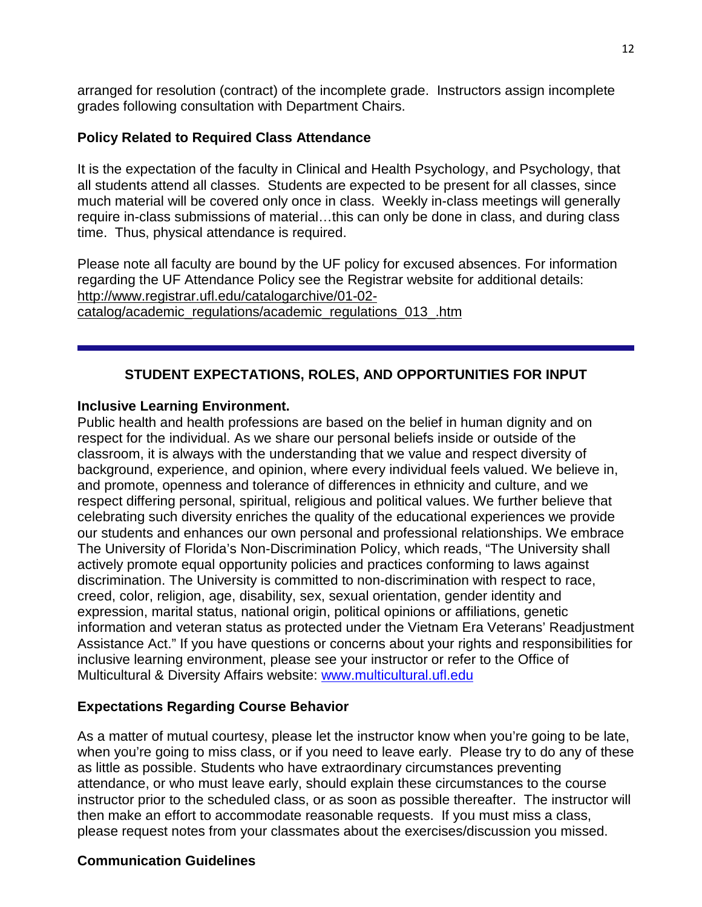arranged for resolution (contract) of the incomplete grade. Instructors assign incomplete grades following consultation with Department Chairs.

### **Policy Related to Required Class Attendance**

It is the expectation of the faculty in Clinical and Health Psychology, and Psychology, that all students attend all classes. Students are expected to be present for all classes, since much material will be covered only once in class. Weekly in-class meetings will generally require in-class submissions of material…this can only be done in class, and during class time. Thus, physical attendance is required.

Please note all faculty are bound by the UF policy for excused absences. For information regarding the UF Attendance Policy see the Registrar website for additional details: [http://www.registrar.ufl.edu/catalogarchive/01-02](http://www.registrar.ufl.edu/catalogarchive/01-02-catalog/academic_regulations/academic_regulations_013_.htm) [catalog/academic\\_regulations/academic\\_regulations\\_013\\_.htm](http://www.registrar.ufl.edu/catalogarchive/01-02-catalog/academic_regulations/academic_regulations_013_.htm)

### **STUDENT EXPECTATIONS, ROLES, AND OPPORTUNITIES FOR INPUT**

### **Inclusive Learning Environment.**

Public health and health professions are based on the belief in human dignity and on respect for the individual. As we share our personal beliefs inside or outside of the classroom, it is always with the understanding that we value and respect diversity of background, experience, and opinion, where every individual feels valued. We believe in, and promote, openness and tolerance of differences in ethnicity and culture, and we respect differing personal, spiritual, religious and political values. We further believe that celebrating such diversity enriches the quality of the educational experiences we provide our students and enhances our own personal and professional relationships. We embrace The University of Florida's Non-Discrimination Policy, which reads, "The University shall actively promote equal opportunity policies and practices conforming to laws against discrimination. The University is committed to non-discrimination with respect to race, creed, color, religion, age, disability, sex, sexual orientation, gender identity and expression, marital status, national origin, political opinions or affiliations, genetic information and veteran status as protected under the Vietnam Era Veterans' Readjustment Assistance Act." If you have questions or concerns about your rights and responsibilities for inclusive learning environment, please see your instructor or refer to the Office of Multicultural & Diversity Affairs website: [www.multicultural.ufl.edu](http://www.multicultural.ufl.edu/)

### **Expectations Regarding Course Behavior**

As a matter of mutual courtesy, please let the instructor know when you're going to be late, when you're going to miss class, or if you need to leave early. Please try to do any of these as little as possible. Students who have extraordinary circumstances preventing attendance, or who must leave early, should explain these circumstances to the course instructor prior to the scheduled class, or as soon as possible thereafter. The instructor will then make an effort to accommodate reasonable requests. If you must miss a class, please request notes from your classmates about the exercises/discussion you missed.

### **Communication Guidelines**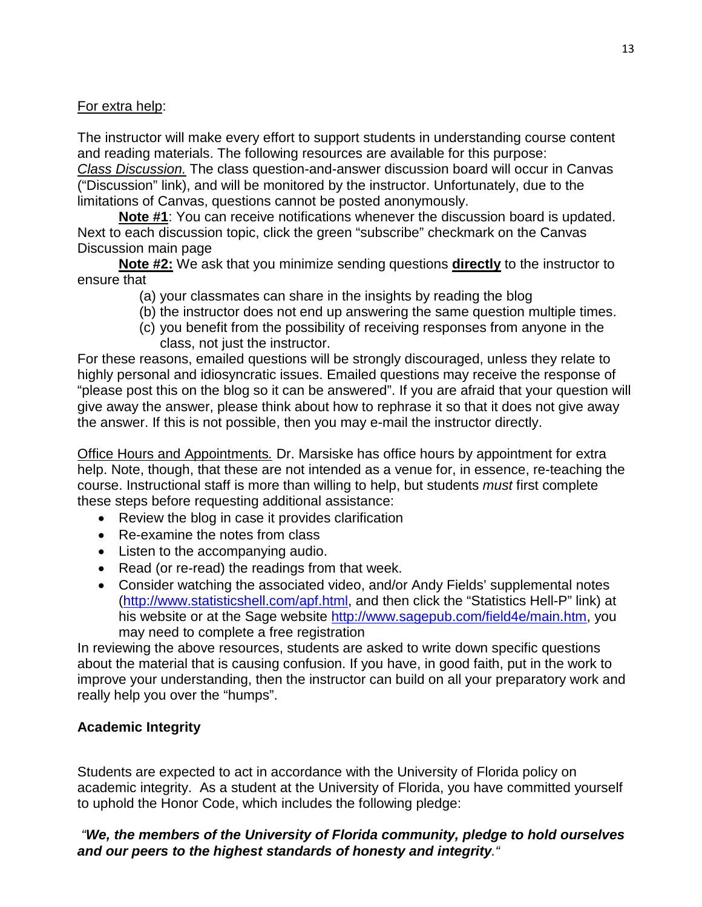For extra help:

The instructor will make every effort to support students in understanding course content and reading materials. The following resources are available for this purpose: *Class Discussion.* The class question-and-answer discussion board will occur in Canvas ("Discussion" link), and will be monitored by the instructor. Unfortunately, due to the limitations of Canvas, questions cannot be posted anonymously.

**Note #1**: You can receive notifications whenever the discussion board is updated. Next to each discussion topic, click the green "subscribe" checkmark on the Canvas Discussion main page

**Note #2:** We ask that you minimize sending questions **directly** to the instructor to ensure that

- (a) your classmates can share in the insights by reading the blog
- (b) the instructor does not end up answering the same question multiple times.
- (c) you benefit from the possibility of receiving responses from anyone in the class, not just the instructor.

For these reasons, emailed questions will be strongly discouraged, unless they relate to highly personal and idiosyncratic issues. Emailed questions may receive the response of "please post this on the blog so it can be answered". If you are afraid that your question will give away the answer, please think about how to rephrase it so that it does not give away the answer. If this is not possible, then you may e-mail the instructor directly.

Office Hours and Appointments*.* Dr. Marsiske has office hours by appointment for extra help. Note, though, that these are not intended as a venue for, in essence, re-teaching the course. Instructional staff is more than willing to help, but students *must* first complete these steps before requesting additional assistance:

- Review the blog in case it provides clarification
- Re-examine the notes from class
- Listen to the accompanying audio.
- Read (or re-read) the readings from that week.
- Consider watching the associated video, and/or Andy Fields' supplemental notes [\(http://www.statisticshell.com/apf.html,](http://www.statisticshell.com/apf.html) and then click the "Statistics Hell-P" link) at his website or at the Sage website [http://www.sagepub.com/field4e/main.htm,](http://www.sagepub.com/field4e/main.htm) you may need to complete a free registration

In reviewing the above resources, students are asked to write down specific questions about the material that is causing confusion. If you have, in good faith, put in the work to improve your understanding, then the instructor can build on all your preparatory work and really help you over the "humps".

### **Academic Integrity**

Students are expected to act in accordance with the University of Florida policy on academic integrity. As a student at the University of Florida, you have committed yourself to uphold the Honor Code, which includes the following pledge:

### *"We, the members of the University of Florida community, pledge to hold ourselves and our peers to the highest standards of honesty and integrity."*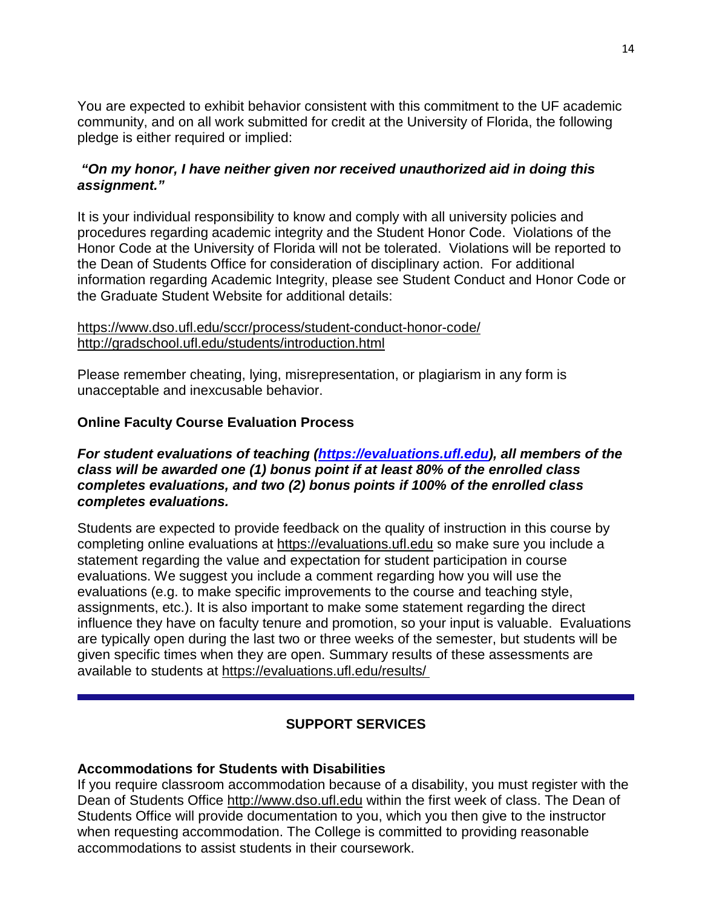You are expected to exhibit behavior consistent with this commitment to the UF academic community, and on all work submitted for credit at the University of Florida, the following pledge is either required or implied:

### *"On my honor, I have neither given nor received unauthorized aid in doing this assignment."*

It is your individual responsibility to know and comply with all university policies and procedures regarding academic integrity and the Student Honor Code. Violations of the Honor Code at the University of Florida will not be tolerated. Violations will be reported to the Dean of Students Office for consideration of disciplinary action. For additional information regarding Academic Integrity, please see Student Conduct and Honor Code or the Graduate Student Website for additional details:

#### <https://www.dso.ufl.edu/sccr/process/student-conduct-honor-code/> <http://gradschool.ufl.edu/students/introduction.html>

Please remember cheating, lying, misrepresentation, or plagiarism in any form is unacceptable and inexcusable behavior.

### **Online Faculty Course Evaluation Process**

#### *For student evaluations of teaching [\(https://evaluations.ufl.edu\)](https://evaluations.ufl.edu/), all members of the class will be awarded one (1) bonus point if at least 80% of the enrolled class completes evaluations, and two (2) bonus points if 100% of the enrolled class completes evaluations.*

Students are expected to provide feedback on the quality of instruction in this course by completing online evaluations at [https://evaluations.ufl.edu](https://evaluations.ufl.edu/) so make sure you include a statement regarding the value and expectation for student participation in course evaluations. We suggest you include a comment regarding how you will use the evaluations (e.g. to make specific improvements to the course and teaching style, assignments, etc.). It is also important to make some statement regarding the direct influence they have on faculty tenure and promotion, so your input is valuable. Evaluations are typically open during the last two or three weeks of the semester, but students will be given specific times when they are open. Summary results of these assessments are available to students at [https://evaluations.ufl.edu/results/](https://evaluations.ufl.edu/results/ )

### **SUPPORT SERVICES**

### **Accommodations for Students with Disabilities**

If you require classroom accommodation because of a disability, you must register with the Dean of Students Office [http://www.dso.ufl.edu](http://www.dso.ufl.edu/) within the first week of class. The Dean of Students Office will provide documentation to you, which you then give to the instructor when requesting accommodation. The College is committed to providing reasonable accommodations to assist students in their coursework.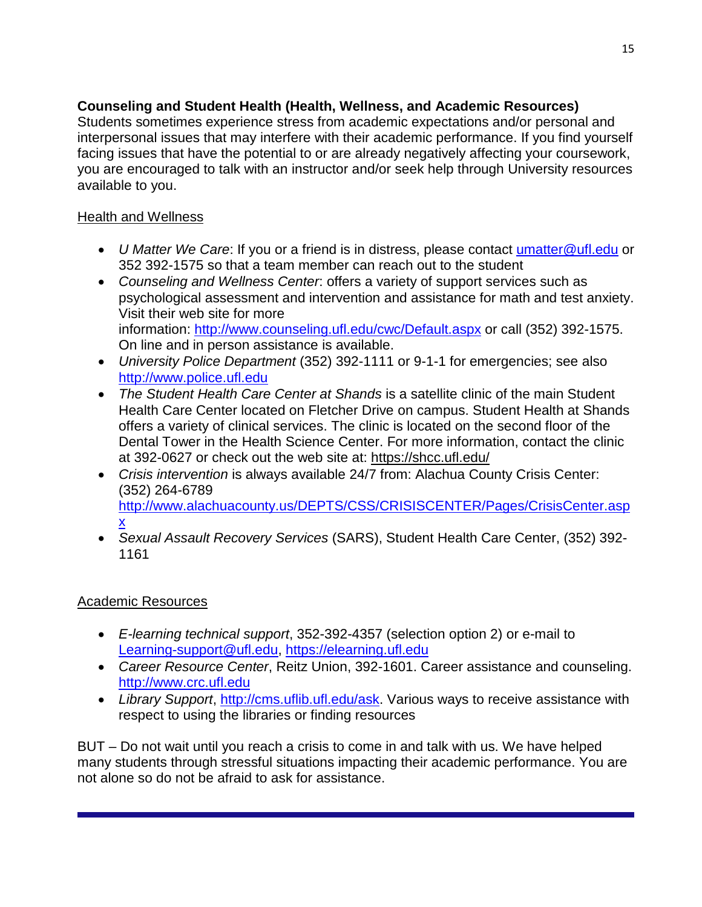### **Counseling and Student Health (Health, Wellness, and Academic Resources)**

Students sometimes experience stress from academic expectations and/or personal and interpersonal issues that may interfere with their academic performance. If you find yourself facing issues that have the potential to or are already negatively affecting your coursework, you are encouraged to talk with an instructor and/or seek help through University resources available to you.

## Health and Wellness

- *U Matter We Care*: If you or a friend is in distress, please contact [umatter@ufl.edu](mailto:umatter@ufl.edu) or 352 392-1575 so that a team member can reach out to the student
- *Counseling and Wellness Center*: offers a variety of support services such as psychological assessment and intervention and assistance for math and test anxiety. Visit their web site for more information: <http://www.counseling.ufl.edu/cwc/Default.aspx> or call (352) 392-1575. On line and in person assistance is available.
- *University Police Department* (352) 392-1111 or 9-1-1 for emergencies; see also [http://www.police.ufl.edu](http://www.police.ufl.edu/)
- *The Student Health Care Center at Shands* is a satellite clinic of the main Student Health Care Center located on Fletcher Drive on campus. Student Health at Shands offers a variety of clinical services. The clinic is located on the second floor of the Dental Tower in the Health Science Center. For more information, contact the clinic at 392-0627 or check out the web site at: <https://shcc.ufl.edu/>
- *Crisis intervention* is always available 24/7 from: Alachua County Crisis Center: (352) 264-6789 [http://www.alachuacounty.us/DEPTS/CSS/CRISISCENTER/Pages/CrisisCenter.asp](http://www.alachuacounty.us/DEPTS/CSS/CRISISCENTER/Pages/CrisisCenter.aspx) [x](http://www.alachuacounty.us/DEPTS/CSS/CRISISCENTER/Pages/CrisisCenter.aspx)
- *Sexual Assault Recovery Services* (SARS), Student Health Care Center, (352) 392- 1161

### Academic Resources

- *E-learning technical support*, 352-392-4357 (selection option 2) or e-mail to [Learning-support@ufl.edu,](mailto:Learning-support@ufl.edu) [https://elearning.ufl.edu](https://elearning.ufl.edu/)
- *Career Resource Center*, Reitz Union, 392-1601. Career assistance and counseling. [http://www.crc.ufl.edu](http://www.crc.ufl.edu/)
- *Library Support*, [http://cms.uflib.ufl.edu/ask.](http://cms.uflib.ufl.edu/ask) Various ways to receive assistance with respect to using the libraries or finding resources

BUT – Do not wait until you reach a crisis to come in and talk with us. We have helped many students through stressful situations impacting their academic performance. You are not alone so do not be afraid to ask for assistance.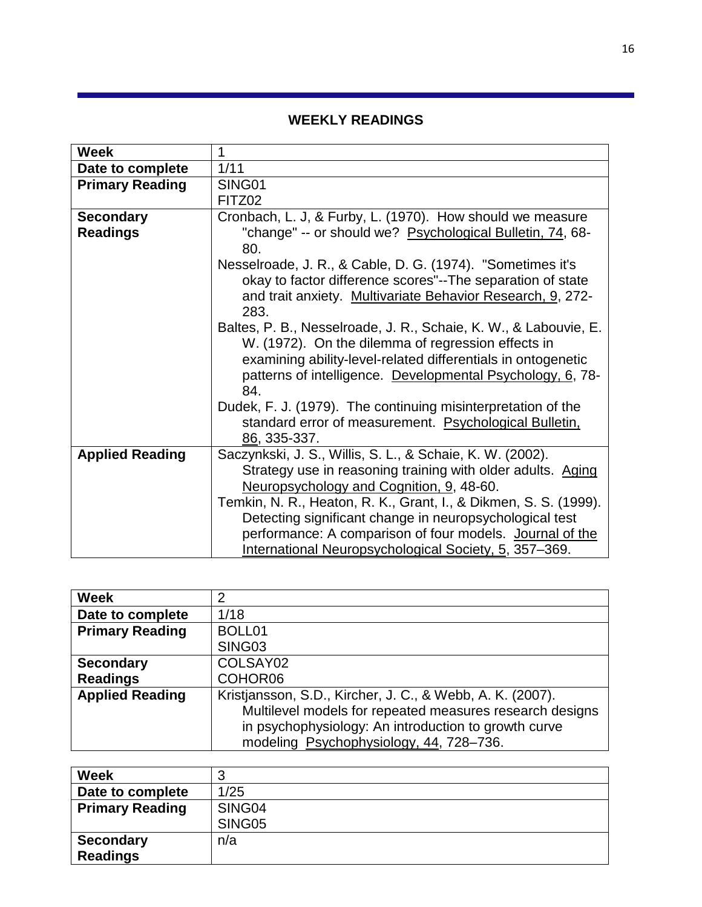# **WEEKLY READINGS**

| <b>Week</b>            | 1                                                                |
|------------------------|------------------------------------------------------------------|
| Date to complete       | 1/11                                                             |
| <b>Primary Reading</b> | SING01                                                           |
|                        | FITZ02                                                           |
| <b>Secondary</b>       | Cronbach, L. J, & Furby, L. (1970). How should we measure        |
| <b>Readings</b>        | "change" -- or should we? Psychological Bulletin, 74, 68-        |
|                        | 80.                                                              |
|                        | Nesselroade, J. R., & Cable, D. G. (1974). "Sometimes it's       |
|                        | okay to factor difference scores"--The separation of state       |
|                        | and trait anxiety. Multivariate Behavior Research, 9, 272-       |
|                        | 283.                                                             |
|                        | Baltes, P. B., Nesselroade, J. R., Schaie, K. W., & Labouvie, E. |
|                        | W. (1972). On the dilemma of regression effects in               |
|                        | examining ability-level-related differentials in ontogenetic     |
|                        | patterns of intelligence. Developmental Psychology, 6, 78-       |
|                        | 84.                                                              |
|                        | Dudek, F. J. (1979). The continuing misinterpretation of the     |
|                        | standard error of measurement. Psychological Bulletin,           |
|                        | 86, 335-337.                                                     |
| <b>Applied Reading</b> | Saczynkski, J. S., Willis, S. L., & Schaie, K. W. (2002).        |
|                        | Strategy use in reasoning training with older adults. Aging      |
|                        | Neuropsychology and Cognition, 9, 48-60.                         |
|                        | Temkin, N. R., Heaton, R. K., Grant, I., & Dikmen, S. S. (1999). |
|                        | Detecting significant change in neuropsychological test          |
|                        | performance: A comparison of four models. Journal of the         |
|                        | International Neuropsychological Society, 5, 357-369.            |

| <b>Week</b>            | 2                                                         |
|------------------------|-----------------------------------------------------------|
| Date to complete       | 1/18                                                      |
| <b>Primary Reading</b> | BOLL01                                                    |
|                        | SING03                                                    |
| <b>Secondary</b>       | COLSAY02                                                  |
| <b>Readings</b>        | COHOR06                                                   |
| <b>Applied Reading</b> | Kristjansson, S.D., Kircher, J. C., & Webb, A. K. (2007). |
|                        | Multilevel models for repeated measures research designs  |
|                        | in psychophysiology: An introduction to growth curve      |
|                        | modeling Psychophysiology, 44, 728-736.                   |

| <b>Week</b>            | u      |
|------------------------|--------|
| Date to complete       | 1/25   |
| <b>Primary Reading</b> | SING04 |
|                        | SING05 |
| <b>Secondary</b>       | n/a    |
| <b>Readings</b>        |        |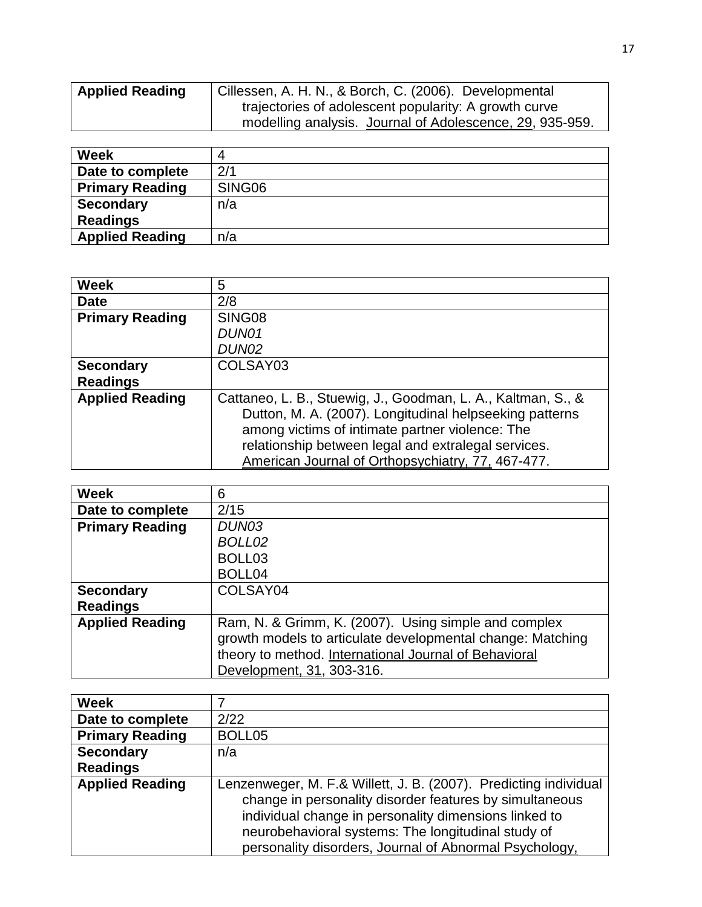| <b>Applied Reading</b> | Cillessen, A. H. N., & Borch, C. (2006). Developmental   |
|------------------------|----------------------------------------------------------|
|                        | trajectories of adolescent popularity: A growth curve    |
|                        | modelling analysis. Journal of Adolescence, 29, 935-959. |

| <b>Week</b>            |        |
|------------------------|--------|
| Date to complete       | 2/1    |
| <b>Primary Reading</b> | SING06 |
| <b>Secondary</b>       | n/a    |
| <b>Readings</b>        |        |
| <b>Applied Reading</b> | n/a    |

| Week                   | 5                                                                                                                                                                                                                                                                                      |
|------------------------|----------------------------------------------------------------------------------------------------------------------------------------------------------------------------------------------------------------------------------------------------------------------------------------|
| <b>Date</b>            | 2/8                                                                                                                                                                                                                                                                                    |
| <b>Primary Reading</b> | SING08                                                                                                                                                                                                                                                                                 |
|                        | DUN01                                                                                                                                                                                                                                                                                  |
|                        | DUN02                                                                                                                                                                                                                                                                                  |
| <b>Secondary</b>       | COLSAY03                                                                                                                                                                                                                                                                               |
| <b>Readings</b>        |                                                                                                                                                                                                                                                                                        |
| <b>Applied Reading</b> | Cattaneo, L. B., Stuewig, J., Goodman, L. A., Kaltman, S., &<br>Dutton, M. A. (2007). Longitudinal helpseeking patterns<br>among victims of intimate partner violence: The<br>relationship between legal and extralegal services.<br>American Journal of Orthopsychiatry, 77, 467-477. |

| <b>Week</b>            | 6                                                          |
|------------------------|------------------------------------------------------------|
|                        |                                                            |
| Date to complete       | 2/15                                                       |
| <b>Primary Reading</b> | DUN03                                                      |
|                        | BOLL02                                                     |
|                        | BOLL <sub>03</sub>                                         |
|                        | BOLL04                                                     |
| <b>Secondary</b>       | COLSAY04                                                   |
| <b>Readings</b>        |                                                            |
| <b>Applied Reading</b> | Ram, N. & Grimm, K. (2007). Using simple and complex       |
|                        | growth models to articulate developmental change: Matching |
|                        | theory to method. International Journal of Behavioral      |
|                        | Development, 31, 303-316.                                  |

| <b>Week</b>            |                                                                  |
|------------------------|------------------------------------------------------------------|
| Date to complete       | 2/22                                                             |
| <b>Primary Reading</b> | BOLL05                                                           |
| <b>Secondary</b>       | n/a                                                              |
| <b>Readings</b>        |                                                                  |
| <b>Applied Reading</b> | Lenzenweger, M. F.& Willett, J. B. (2007). Predicting individual |
|                        | change in personality disorder features by simultaneous          |
|                        | individual change in personality dimensions linked to            |
|                        | neurobehavioral systems: The longitudinal study of               |
|                        | personality disorders, Journal of Abnormal Psychology,           |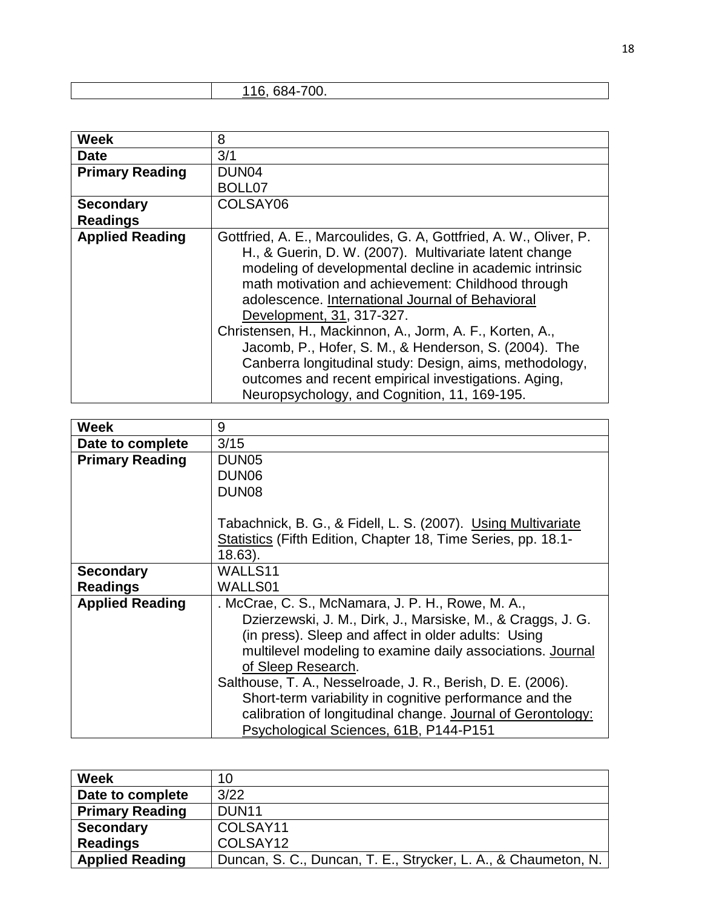| 700.<br>$\epsilon$ |  |
|--------------------|--|
|                    |  |

| <b>Week</b>            | 8                                                                 |
|------------------------|-------------------------------------------------------------------|
| <b>Date</b>            | 3/1                                                               |
| <b>Primary Reading</b> | DUN <sub>04</sub>                                                 |
|                        | BOLL07                                                            |
| <b>Secondary</b>       | COLSAY06                                                          |
| <b>Readings</b>        |                                                                   |
| <b>Applied Reading</b> | Gottfried, A. E., Marcoulides, G. A, Gottfried, A. W., Oliver, P. |
|                        | H., & Guerin, D. W. (2007). Multivariate latent change            |
|                        | modeling of developmental decline in academic intrinsic           |
|                        | math motivation and achievement: Childhood through                |
|                        | adolescence. International Journal of Behavioral                  |
|                        | Development, 31, 317-327.                                         |
|                        | Christensen, H., Mackinnon, A., Jorm, A. F., Korten, A.,          |
|                        | Jacomb, P., Hofer, S. M., & Henderson, S. (2004). The             |
|                        | Canberra longitudinal study: Design, aims, methodology,           |
|                        | outcomes and recent empirical investigations. Aging,              |
|                        | Neuropsychology, and Cognition, 11, 169-195.                      |

| <b>Week</b>            | 9                                                             |
|------------------------|---------------------------------------------------------------|
| Date to complete       | 3/15                                                          |
| <b>Primary Reading</b> | DUN <sub>05</sub>                                             |
|                        | DUN <sub>06</sub>                                             |
|                        | DUN <sub>08</sub>                                             |
|                        |                                                               |
|                        | Tabachnick, B. G., & Fidell, L. S. (2007). Using Multivariate |
|                        | Statistics (Fifth Edition, Chapter 18, Time Series, pp. 18.1- |
|                        | 18.63).                                                       |
| <b>Secondary</b>       | WALLS11                                                       |
| <b>Readings</b>        | WALLS01                                                       |
| <b>Applied Reading</b> | . McCrae, C. S., McNamara, J. P. H., Rowe, M. A.,             |
|                        | Dzierzewski, J. M., Dirk, J., Marsiske, M., & Craggs, J. G.   |
|                        | (in press). Sleep and affect in older adults: Using           |
|                        | multilevel modeling to examine daily associations. Journal    |
|                        | of Sleep Research.                                            |
|                        | Salthouse, T. A., Nesselroade, J. R., Berish, D. E. (2006).   |
|                        | Short-term variability in cognitive performance and the       |
|                        | calibration of longitudinal change. Journal of Gerontology:   |
|                        | Psychological Sciences, 61B, P144-P151                        |

| <b>Week</b>            | 10                                                             |
|------------------------|----------------------------------------------------------------|
| Date to complete       | 3/22                                                           |
| <b>Primary Reading</b> | DUN <sub>11</sub>                                              |
| <b>Secondary</b>       | COLSAY11                                                       |
| <b>Readings</b>        | COLSAY12                                                       |
| <b>Applied Reading</b> | Duncan, S. C., Duncan, T. E., Strycker, L. A., & Chaumeton, N. |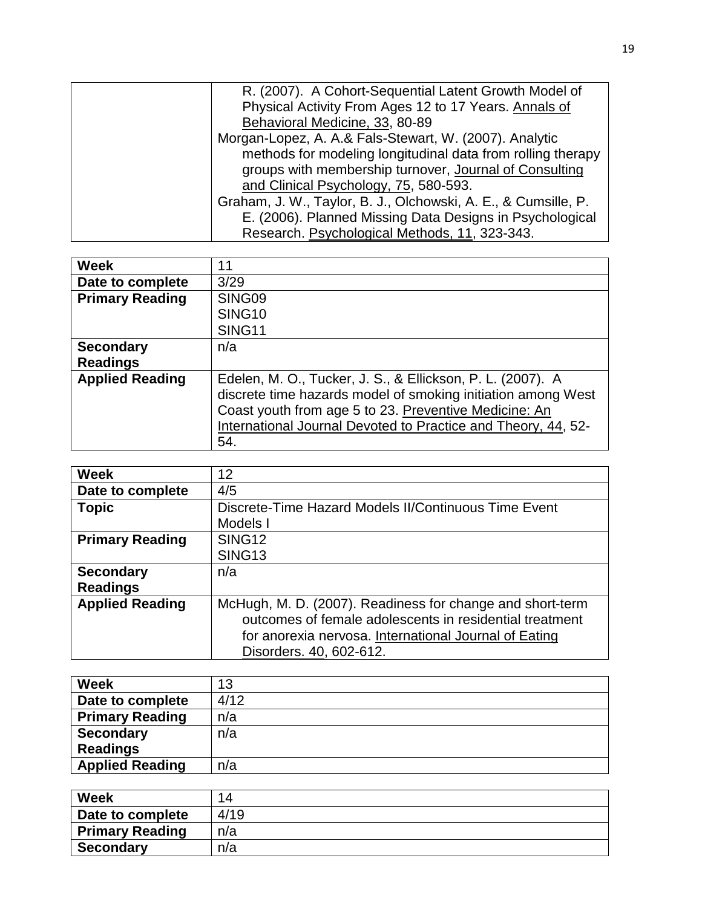| R. (2007). A Cohort-Sequential Latent Growth Model of          |
|----------------------------------------------------------------|
| Physical Activity From Ages 12 to 17 Years. Annals of          |
| Behavioral Medicine, 33, 80-89                                 |
| Morgan-Lopez, A. A.& Fals-Stewart, W. (2007). Analytic         |
| methods for modeling longitudinal data from rolling therapy    |
| groups with membership turnover, Journal of Consulting         |
| and Clinical Psychology, 75, 580-593.                          |
| Graham, J. W., Taylor, B. J., Olchowski, A. E., & Cumsille, P. |
| E. (2006). Planned Missing Data Designs in Psychological       |
| Research. Psychological Methods, 11, 323-343.                  |

| <b>Week</b>            | 11                                                                                                                                                                                                                                                          |
|------------------------|-------------------------------------------------------------------------------------------------------------------------------------------------------------------------------------------------------------------------------------------------------------|
| Date to complete       | 3/29                                                                                                                                                                                                                                                        |
| <b>Primary Reading</b> | SING09                                                                                                                                                                                                                                                      |
|                        | SING <sub>10</sub>                                                                                                                                                                                                                                          |
|                        | <b>SING11</b>                                                                                                                                                                                                                                               |
| <b>Secondary</b>       | n/a                                                                                                                                                                                                                                                         |
| <b>Readings</b>        |                                                                                                                                                                                                                                                             |
| <b>Applied Reading</b> | Edelen, M. O., Tucker, J. S., & Ellickson, P. L. (2007). A<br>discrete time hazards model of smoking initiation among West<br>Coast youth from age 5 to 23. Preventive Medicine: An<br>International Journal Devoted to Practice and Theory, 44, 52-<br>54. |

| <b>Week</b>            | 12                                                        |
|------------------------|-----------------------------------------------------------|
| Date to complete       | 4/5                                                       |
| <b>Topic</b>           | Discrete-Time Hazard Models II/Continuous Time Event      |
|                        | Models I                                                  |
| <b>Primary Reading</b> | SING <sub>12</sub>                                        |
|                        | SING <sub>13</sub>                                        |
| <b>Secondary</b>       | n/a                                                       |
| <b>Readings</b>        |                                                           |
| <b>Applied Reading</b> | McHugh, M. D. (2007). Readiness for change and short-term |
|                        | outcomes of female adolescents in residential treatment   |
|                        | for anorexia nervosa. International Journal of Eating     |
|                        | Disorders. 40, 602-612.                                   |

| <b>Week</b>            | 13   |
|------------------------|------|
| Date to complete       | 4/12 |
| <b>Primary Reading</b> | n/a  |
| <b>Secondary</b>       | n/a  |
| <b>Readings</b>        |      |
| <b>Applied Reading</b> | n/a  |

| <b>Week</b>            | 14   |
|------------------------|------|
| Date to complete       | 4/19 |
| <b>Primary Reading</b> | n/a  |
| <b>Secondary</b>       | n/a  |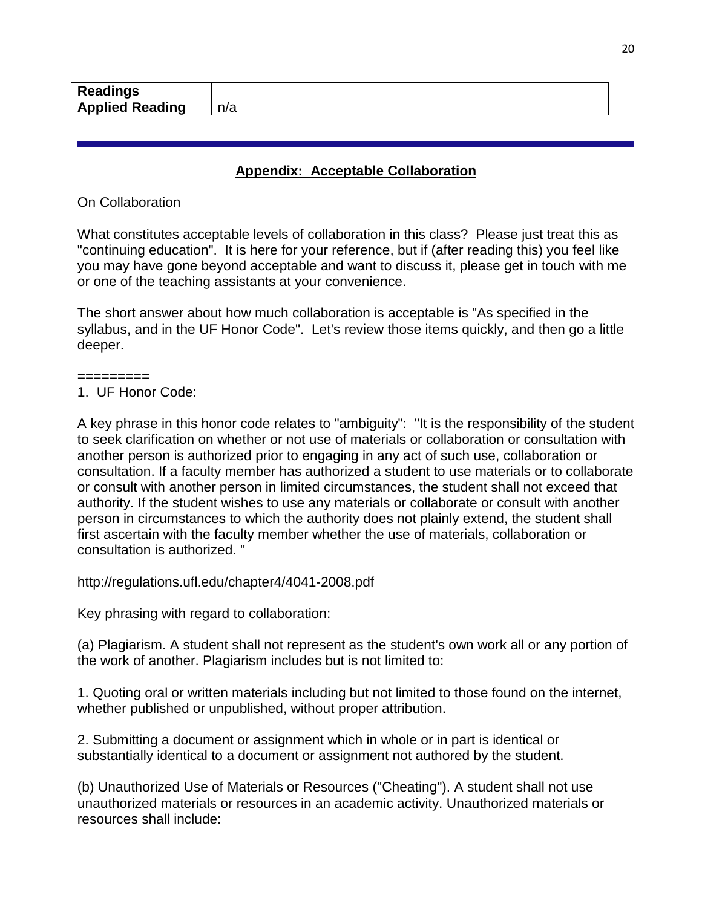| . .<br>в.<br><b>Readings</b> |      |
|------------------------------|------|
| <b>Reading</b>               | n/n  |
| Applied                      | 11 a |

#### **Appendix: Acceptable Collaboration**

On Collaboration

What constitutes acceptable levels of collaboration in this class? Please just treat this as "continuing education". It is here for your reference, but if (after reading this) you feel like you may have gone beyond acceptable and want to discuss it, please get in touch with me or one of the teaching assistants at your convenience.

The short answer about how much collaboration is acceptable is "As specified in the syllabus, and in the UF Honor Code". Let's review those items quickly, and then go a little deeper.

=========

1. UF Honor Code:

A key phrase in this honor code relates to "ambiguity": "It is the responsibility of the student to seek clarification on whether or not use of materials or collaboration or consultation with another person is authorized prior to engaging in any act of such use, collaboration or consultation. If a faculty member has authorized a student to use materials or to collaborate or consult with another person in limited circumstances, the student shall not exceed that authority. If the student wishes to use any materials or collaborate or consult with another person in circumstances to which the authority does not plainly extend, the student shall first ascertain with the faculty member whether the use of materials, collaboration or consultation is authorized. "

http://regulations.ufl.edu/chapter4/4041-2008.pdf

Key phrasing with regard to collaboration:

(a) Plagiarism. A student shall not represent as the student's own work all or any portion of the work of another. Plagiarism includes but is not limited to:

1. Quoting oral or written materials including but not limited to those found on the internet, whether published or unpublished, without proper attribution.

2. Submitting a document or assignment which in whole or in part is identical or substantially identical to a document or assignment not authored by the student.

(b) Unauthorized Use of Materials or Resources ("Cheating"). A student shall not use unauthorized materials or resources in an academic activity. Unauthorized materials or resources shall include: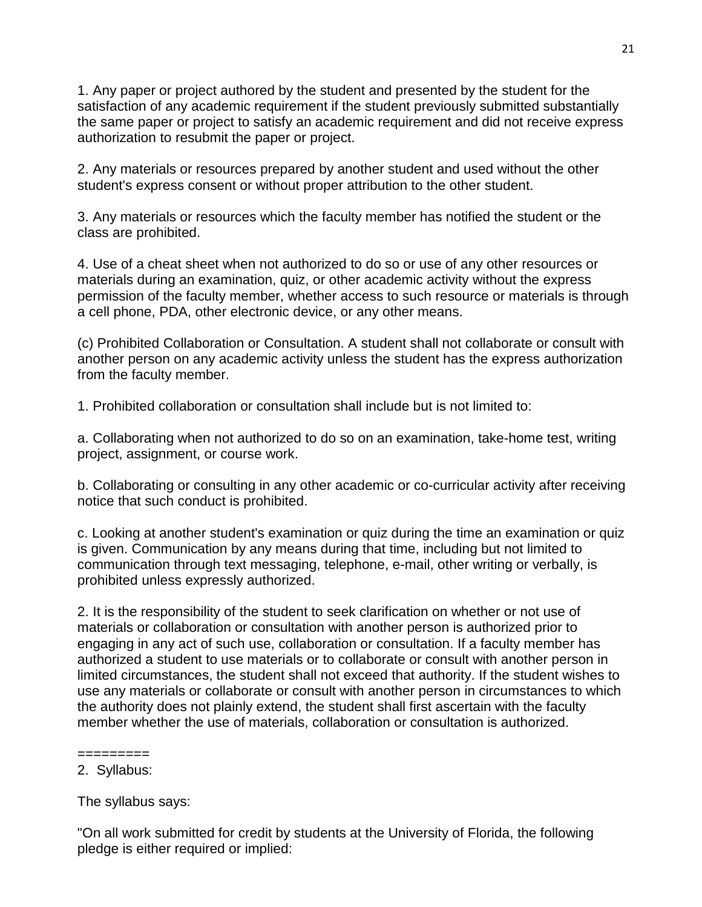1. Any paper or project authored by the student and presented by the student for the satisfaction of any academic requirement if the student previously submitted substantially the same paper or project to satisfy an academic requirement and did not receive express authorization to resubmit the paper or project.

2. Any materials or resources prepared by another student and used without the other student's express consent or without proper attribution to the other student.

3. Any materials or resources which the faculty member has notified the student or the class are prohibited.

4. Use of a cheat sheet when not authorized to do so or use of any other resources or materials during an examination, quiz, or other academic activity without the express permission of the faculty member, whether access to such resource or materials is through a cell phone, PDA, other electronic device, or any other means.

(c) Prohibited Collaboration or Consultation. A student shall not collaborate or consult with another person on any academic activity unless the student has the express authorization from the faculty member.

1. Prohibited collaboration or consultation shall include but is not limited to:

a. Collaborating when not authorized to do so on an examination, take-home test, writing project, assignment, or course work.

b. Collaborating or consulting in any other academic or co-curricular activity after receiving notice that such conduct is prohibited.

c. Looking at another student's examination or quiz during the time an examination or quiz is given. Communication by any means during that time, including but not limited to communication through text messaging, telephone, e-mail, other writing or verbally, is prohibited unless expressly authorized.

2. It is the responsibility of the student to seek clarification on whether or not use of materials or collaboration or consultation with another person is authorized prior to engaging in any act of such use, collaboration or consultation. If a faculty member has authorized a student to use materials or to collaborate or consult with another person in limited circumstances, the student shall not exceed that authority. If the student wishes to use any materials or collaborate or consult with another person in circumstances to which the authority does not plainly extend, the student shall first ascertain with the faculty member whether the use of materials, collaboration or consultation is authorized.

The syllabus says:

"On all work submitted for credit by students at the University of Florida, the following pledge is either required or implied:

<sup>=========</sup> 2. Syllabus: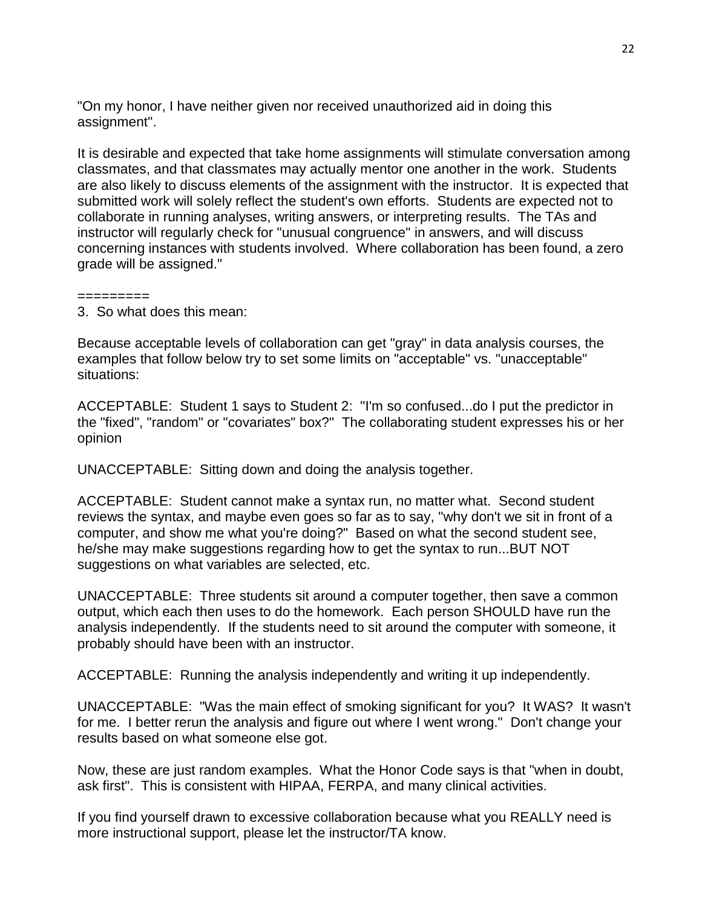"On my honor, I have neither given nor received unauthorized aid in doing this assignment".

It is desirable and expected that take home assignments will stimulate conversation among classmates, and that classmates may actually mentor one another in the work. Students are also likely to discuss elements of the assignment with the instructor. It is expected that submitted work will solely reflect the student's own efforts. Students are expected not to collaborate in running analyses, writing answers, or interpreting results. The TAs and instructor will regularly check for "unusual congruence" in answers, and will discuss concerning instances with students involved. Where collaboration has been found, a zero grade will be assigned."

#### =========

3. So what does this mean:

Because acceptable levels of collaboration can get "gray" in data analysis courses, the examples that follow below try to set some limits on "acceptable" vs. "unacceptable" situations:

ACCEPTABLE: Student 1 says to Student 2: "I'm so confused...do I put the predictor in the "fixed", "random" or "covariates" box?" The collaborating student expresses his or her opinion

UNACCEPTABLE: Sitting down and doing the analysis together.

ACCEPTABLE: Student cannot make a syntax run, no matter what. Second student reviews the syntax, and maybe even goes so far as to say, "why don't we sit in front of a computer, and show me what you're doing?" Based on what the second student see, he/she may make suggestions regarding how to get the syntax to run...BUT NOT suggestions on what variables are selected, etc.

UNACCEPTABLE: Three students sit around a computer together, then save a common output, which each then uses to do the homework. Each person SHOULD have run the analysis independently. If the students need to sit around the computer with someone, it probably should have been with an instructor.

ACCEPTABLE: Running the analysis independently and writing it up independently.

UNACCEPTABLE: "Was the main effect of smoking significant for you? It WAS? It wasn't for me. I better rerun the analysis and figure out where I went wrong." Don't change your results based on what someone else got.

Now, these are just random examples. What the Honor Code says is that "when in doubt, ask first". This is consistent with HIPAA, FERPA, and many clinical activities.

If you find yourself drawn to excessive collaboration because what you REALLY need is more instructional support, please let the instructor/TA know.